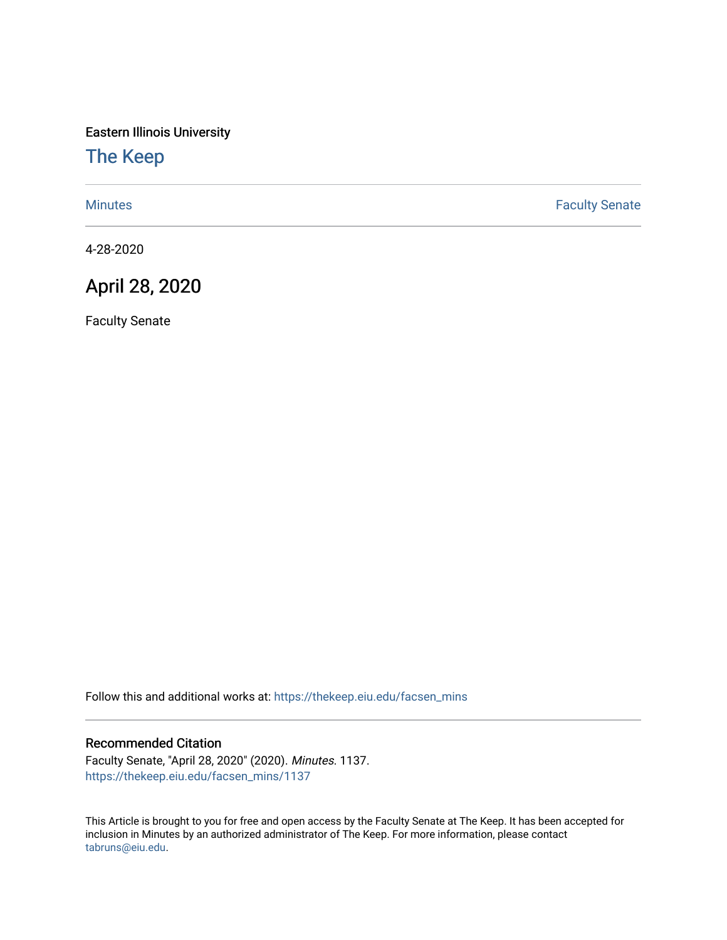Eastern Illinois University

## [The Keep](https://thekeep.eiu.edu/)

[Minutes](https://thekeep.eiu.edu/facsen_mins) **Faculty Senate** 

4-28-2020

## April 28, 2020

Faculty Senate

Follow this and additional works at: [https://thekeep.eiu.edu/facsen\\_mins](https://thekeep.eiu.edu/facsen_mins?utm_source=thekeep.eiu.edu%2Ffacsen_mins%2F1137&utm_medium=PDF&utm_campaign=PDFCoverPages) 

## Recommended Citation

Faculty Senate, "April 28, 2020" (2020). Minutes. 1137. [https://thekeep.eiu.edu/facsen\\_mins/1137](https://thekeep.eiu.edu/facsen_mins/1137?utm_source=thekeep.eiu.edu%2Ffacsen_mins%2F1137&utm_medium=PDF&utm_campaign=PDFCoverPages) 

This Article is brought to you for free and open access by the Faculty Senate at The Keep. It has been accepted for inclusion in Minutes by an authorized administrator of The Keep. For more information, please contact [tabruns@eiu.edu.](mailto:tabruns@eiu.edu)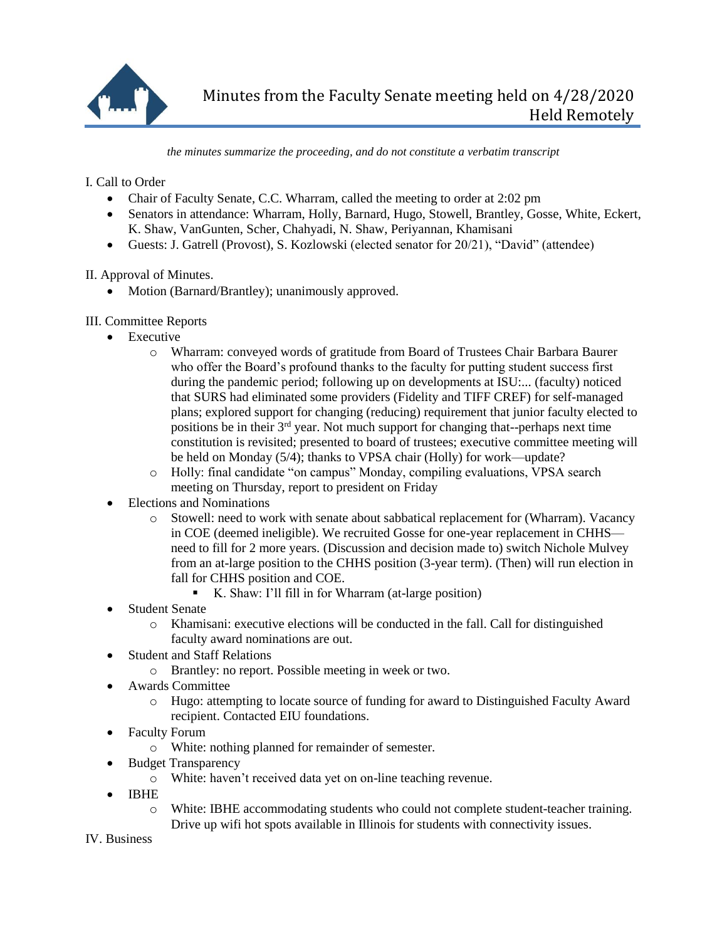

*the minutes summarize the proceeding, and do not constitute a verbatim transcript*

I. Call to Order

- Chair of Faculty Senate, C.C. Wharram, called the meeting to order at 2:02 pm
- Senators in attendance: Wharram, Holly, Barnard, Hugo, Stowell, Brantley, Gosse, White, Eckert, K. Shaw, VanGunten, Scher, Chahyadi, N. Shaw, Periyannan, Khamisani
- Guests: J. Gatrell (Provost), S. Kozlowski (elected senator for 20/21), "David" (attendee)

II. Approval of Minutes.

- Motion (Barnard/Brantley); unanimously approved.
- III. Committee Reports
	- Executive
		- o Wharram: conveyed words of gratitude from Board of Trustees Chair Barbara Baurer who offer the Board's profound thanks to the faculty for putting student success first during the pandemic period; following up on developments at ISU:... (faculty) noticed that SURS had eliminated some providers (Fidelity and TIFF CREF) for self-managed plans; explored support for changing (reducing) requirement that junior faculty elected to positions be in their 3rd year. Not much support for changing that--perhaps next time constitution is revisited; presented to board of trustees; executive committee meeting will be held on Monday (5/4); thanks to VPSA chair (Holly) for work—update?
		- o Holly: final candidate "on campus" Monday, compiling evaluations, VPSA search meeting on Thursday, report to president on Friday
	- Elections and Nominations
		- o Stowell: need to work with senate about sabbatical replacement for (Wharram). Vacancy in COE (deemed ineligible). We recruited Gosse for one-year replacement in CHHS need to fill for 2 more years. (Discussion and decision made to) switch Nichole Mulvey from an at-large position to the CHHS position (3-year term). (Then) will run election in fall for CHHS position and COE.
			- K. Shaw: I'll fill in for Wharram (at-large position)
	- Student Senate
		- o Khamisani: executive elections will be conducted in the fall. Call for distinguished faculty award nominations are out.
	- Student and Staff Relations
		- o Brantley: no report. Possible meeting in week or two.
	- Awards Committee
		- o Hugo: attempting to locate source of funding for award to Distinguished Faculty Award recipient. Contacted EIU foundations.
	- Faculty Forum
		- o White: nothing planned for remainder of semester.
	- Budget Transparency
		- o White: haven't received data yet on on-line teaching revenue.
	- IBHE
		- o White: IBHE accommodating students who could not complete student-teacher training. Drive up wifi hot spots available in Illinois for students with connectivity issues.

IV. Business